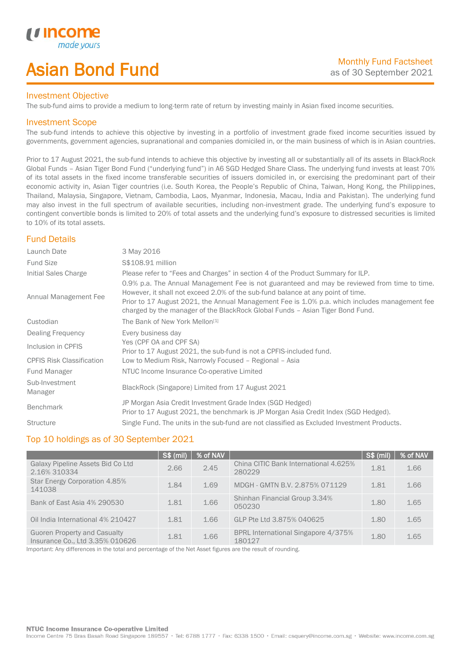# Asian Bond Fund

## Investment Objective

The sub-fund aims to provide a medium to long-term rate of return by investing mainly in Asian fixed income securities.

## Investment Scope

*i i* Incol

I

The sub-fund intends to achieve this objective by investing in a portfolio of investment grade fixed income securities issued by governments, government agencies, supranational and companies domiciled in, or the main business of which is in Asian countries.

Prior to 17 August 2021, the sub-fund intends to achieve this objective by investing all or substantially all of its assets in BlackRock Global Funds – Asian Tiger Bond Fund ("underlying fund") in A6 SGD Hedged Share Class. The underlying fund invests at least 70% of its total assets in the fixed income transferable securities of issuers domiciled in, or exercising the predominant part of their economic activity in, Asian Tiger countries (i.e. South Korea, the People's Republic of China, Taiwan, Hong Kong, the Philippines, Thailand, Malaysia, Singapore, Vietnam, Cambodia, Laos, Myanmar, Indonesia, Macau, India and Pakistan). The underlying fund may also invest in the full spectrum of available securities, including non-investment grade. The underlying fund's exposure to contingent convertible bonds is limited to 20% of total assets and the underlying fund's exposure to distressed securities is limited to 10% of its total assets.

# Fund Details

| Launch Date                      | 3 May 2016                                                                                                                                                                                                                                                                                                                                                        |
|----------------------------------|-------------------------------------------------------------------------------------------------------------------------------------------------------------------------------------------------------------------------------------------------------------------------------------------------------------------------------------------------------------------|
| <b>Fund Size</b>                 | S\$108.91 million                                                                                                                                                                                                                                                                                                                                                 |
| Initial Sales Charge             | Please refer to "Fees and Charges" in section 4 of the Product Summary for ILP.                                                                                                                                                                                                                                                                                   |
| Annual Management Fee            | 0.9% p.a. The Annual Management Fee is not guaranteed and may be reviewed from time to time.<br>However, it shall not exceed 2.0% of the sub-fund balance at any point of time.<br>Prior to 17 August 2021, the Annual Management Fee is 1.0% p.a. which includes management fee<br>charged by the manager of the BlackRock Global Funds - Asian Tiger Bond Fund. |
| Custodian                        | The Bank of New York Mellon <sup>[1]</sup>                                                                                                                                                                                                                                                                                                                        |
| Dealing Frequency                | Every business day                                                                                                                                                                                                                                                                                                                                                |
| Inclusion in CPFIS               | Yes (CPF OA and CPF SA)<br>Prior to 17 August 2021, the sub-fund is not a CPFIS-included fund.                                                                                                                                                                                                                                                                    |
| <b>CPFIS Risk Classification</b> | Low to Medium Risk, Narrowly Focused - Regional - Asia                                                                                                                                                                                                                                                                                                            |
| Fund Manager                     | NTUC Income Insurance Co-operative Limited                                                                                                                                                                                                                                                                                                                        |
| Sub-Investment<br>Manager        | BlackRock (Singapore) Limited from 17 August 2021                                                                                                                                                                                                                                                                                                                 |
| <b>Benchmark</b>                 | JP Morgan Asia Credit Investment Grade Index (SGD Hedged)<br>Prior to 17 August 2021, the benchmark is JP Morgan Asia Credit Index (SGD Hedged).                                                                                                                                                                                                                  |
| <b>Structure</b>                 | Single Fund. The units in the sub-fund are not classified as Excluded Investment Products.                                                                                                                                                                                                                                                                        |

# Top 10 holdings as of 30 September 2021

|                                                                        | $\sqrt{\mathsf{S}\$(\mathsf{mill})}$ | % of NAV |                                                 | S\$ (mil) | % of NAV |
|------------------------------------------------------------------------|--------------------------------------|----------|-------------------------------------------------|-----------|----------|
| Galaxy Pipeline Assets Bid Co Ltd<br>2.16% 310334                      | 2.66                                 | 2.45     | China CITIC Bank International 4.625%<br>280229 | 1.81      | 1.66     |
| Star Energy Corporation 4.85%<br>141038                                | 1.84                                 | 1.69     | MDGH - GMTN B.V. 2.875% 071129                  | 1.81      | 1.66     |
| Bank of East Asia 4% 290530                                            | 1.81                                 | 1.66     | Shinhan Financial Group 3.34%<br>050230         | 1.80      | 1.65     |
| Oil India International 4% 210427                                      | 1.81                                 | 1.66     | GLP Pte Ltd 3.875% 040625                       | 1.80      | 1.65     |
| <b>Guoren Property and Casualty</b><br>Insurance Co., Ltd 3.35% 010626 | 1.81                                 | 1.66     | BPRL International Singapore 4/375%<br>180127   | 1.80      | 1.65     |

Important: Any differences in the total and percentage of the Net Asset figures are the result of rounding.

### NTUC Income Insurance Co-operative Limited

Income Centre 75 Bras Basah Road Singapore 189557 · Tel: 6788 1777 · Fax: 6338 1500 · Email: csquery@income.com.sg · Website: www.income.com.sg